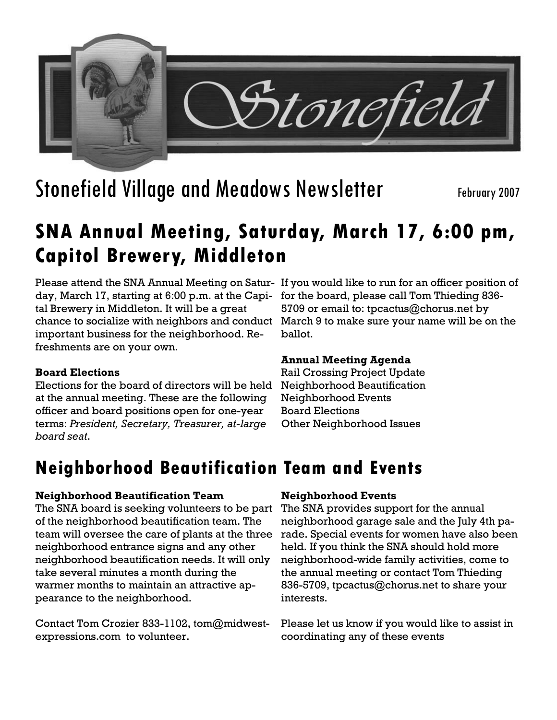

# Stonefield Village and Meadows Newsletter February 2007

## **SNA Annual Meeting, Saturday, March 17, 6:00 pm, Capitol Brewery, Middleton**

Please attend the SNA Annual Meeting on Satur-If you would like to run for an officer position of day, March 17, starting at 6:00 p.m. at the Capital Brewery in Middleton. It will be a great chance to socialize with neighbors and conduct important business for the neighborhood. Refreshments are on your own.

## **Board Elections**

Elections for the board of directors will be held at the annual meeting. These are the following officer and board positions open for one-year terms: *President, Secretary, Treasurer, at-large board seat*.

for the board, please call Tom Thieding 836- 5709 or email to: tpcactus@chorus.net by March 9 to make sure your name will be on the ballot.

### **Annual Meeting Agenda**

Rail Crossing Project Update Neighborhood Beautification Neighborhood Events Board Elections Other Neighborhood Issues

## **Neighborhood Beautification Team and Events**

### **Neighborhood Beautification Team**

The SNA board is seeking volunteers to be part of the neighborhood beautification team. The team will oversee the care of plants at the three neighborhood entrance signs and any other neighborhood beautification needs. It will only take several minutes a month during the warmer months to maintain an attractive appearance to the neighborhood.

Contact Tom Crozier 833-1102, tom@midwestexpressions.com to volunteer.

## **Neighborhood Events**

The SNA provides support for the annual neighborhood garage sale and the July 4th parade. Special events for women have also been held. If you think the SNA should hold more neighborhood-wide family activities, come to the annual meeting or contact Tom Thieding 836-5709, tpcactus@chorus.net to share your interests.

Please let us know if you would like to assist in coordinating any of these events